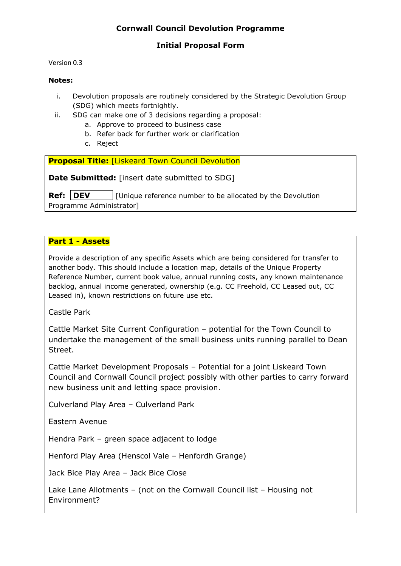### **Initial Proposal Form**

Version 0.3

#### **Notes:**

- i. Devolution proposals are routinely considered by the Strategic Devolution Group (SDG) which meets fortnightly.
- ii. SDG can make one of 3 decisions regarding a proposal:
	- a. Approve to proceed to business case
	- b. Refer back for further work or clarification
	- c. Reject

**Proposal Title: [Liskeard Town Council Devolution]** 

**Date Submitted:** [insert date submitted to SDG]

**Ref: DEV** | [Unique reference number to be allocated by the Devolution Programme Administrator]

#### **Part 1 - Assets**

Provide a description of any specific Assets which are being considered for transfer to another body. This should include a location map, details of the Unique Property Reference Number, current book value, annual running costs, any known maintenance backlog, annual income generated, ownership (e.g. CC Freehold, CC Leased out, CC Leased in), known restrictions on future use etc.

Castle Park

Cattle Market Site Current Configuration – potential for the Town Council to undertake the management of the small business units running parallel to Dean Street.

Cattle Market Development Proposals – Potential for a joint Liskeard Town Council and Cornwall Council project possibly with other parties to carry forward new business unit and letting space provision.

Culverland Play Area – Culverland Park

Eastern Avenue

Hendra Park – green space adjacent to lodge

Henford Play Area (Henscol Vale – Henfordh Grange)

Jack Bice Play Area – Jack Bice Close

Lake Lane Allotments – (not on the Cornwall Council list – Housing not Environment?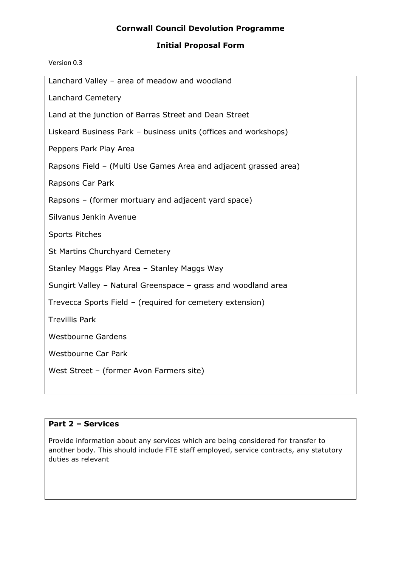### **Initial Proposal Form**

| Lanchard Valley - area of meadow and woodland                    |
|------------------------------------------------------------------|
| <b>Lanchard Cemetery</b>                                         |
| Land at the junction of Barras Street and Dean Street            |
| Liskeard Business Park - business units (offices and workshops)  |
| Peppers Park Play Area                                           |
| Rapsons Field - (Multi Use Games Area and adjacent grassed area) |
| Rapsons Car Park                                                 |
| Rapsons - (former mortuary and adjacent yard space)              |
| Silvanus Jenkin Avenue                                           |
| <b>Sports Pitches</b>                                            |
| <b>St Martins Churchyard Cemetery</b>                            |
| Stanley Maggs Play Area - Stanley Maggs Way                      |
| Sungirt Valley - Natural Greenspace - grass and woodland area    |
| Trevecca Sports Field - (required for cemetery extension)        |
| <b>Trevillis Park</b>                                            |
| <b>Westbourne Gardens</b>                                        |
| <b>Westbourne Car Park</b>                                       |
| West Street - (former Avon Farmers site)                         |
|                                                                  |

## **Part 2 – Services**

Version 0.3

Provide information about any services which are being considered for transfer to another body. This should include FTE staff employed, service contracts, any statutory duties as relevant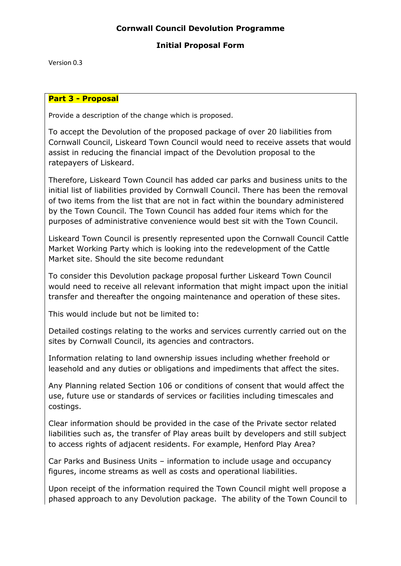### **Initial Proposal Form**

Version 0.3

#### **Part 3 - Proposal**

Provide a description of the change which is proposed.

To accept the Devolution of the proposed package of over 20 liabilities from Cornwall Council, Liskeard Town Council would need to receive assets that would assist in reducing the financial impact of the Devolution proposal to the ratepayers of Liskeard.

Therefore, Liskeard Town Council has added car parks and business units to the initial list of liabilities provided by Cornwall Council. There has been the removal of two items from the list that are not in fact within the boundary administered by the Town Council. The Town Council has added four items which for the purposes of administrative convenience would best sit with the Town Council.

Liskeard Town Council is presently represented upon the Cornwall Council Cattle Market Working Party which is looking into the redevelopment of the Cattle Market site. Should the site become redundant

To consider this Devolution package proposal further Liskeard Town Council would need to receive all relevant information that might impact upon the initial transfer and thereafter the ongoing maintenance and operation of these sites.

This would include but not be limited to:

Detailed costings relating to the works and services currently carried out on the sites by Cornwall Council, its agencies and contractors.

Information relating to land ownership issues including whether freehold or leasehold and any duties or obligations and impediments that affect the sites.

Any Planning related Section 106 or conditions of consent that would affect the use, future use or standards of services or facilities including timescales and costings.

Clear information should be provided in the case of the Private sector related liabilities such as, the transfer of Play areas built by developers and still subject to access rights of adjacent residents. For example, Henford Play Area?

Car Parks and Business Units – information to include usage and occupancy figures, income streams as well as costs and operational liabilities.

Upon receipt of the information required the Town Council might well propose a phased approach to any Devolution package. The ability of the Town Council to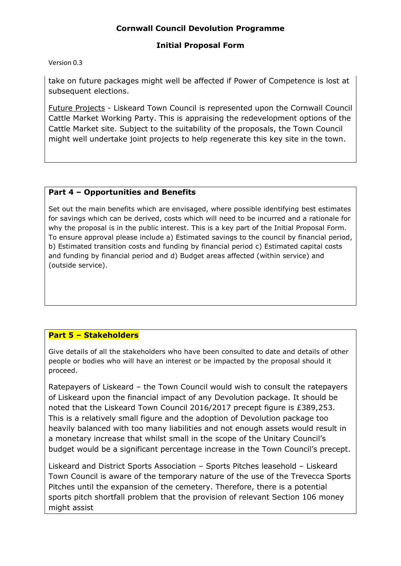### **Initial Proposal Form**

#### Version 0.3

take on future packages might well be affected if Power of Competence is lost at subsequent elections.

Future Projects - Liskeard Town Council is represented upon the Cornwall Council Cattle Market Working Party. This is appraising the redevelopment options of the Cattle Market site. Subject to the suitability of the proposals, the Town Council might well undertake joint projects to help regenerate this key site in the town.

### **Part 4 – Opportunities and Benefits**

Set out the main benefits which are envisaged, where possible identifying best estimates for savings which can be derived, costs which will need to be incurred and a rationale for why the proposal is in the public interest. This is a key part of the Initial Proposal Form. To ensure approval please include a) Estimated savings to the council by financial period, b) Estimated transition costs and funding by financial period c) Estimated capital costs and funding by financial period and d) Budget areas affected (within service) and (outside service).

### **Part 5 – Stakeholders**

Give details of all the stakeholders who have been consulted to date and details of other people or bodies who will have an interest or be impacted by the proposal should it proceed.

Ratepayers of Liskeard – the Town Council would wish to consult the ratepayers of Liskeard upon the financial impact of any Devolution package. It should be noted that the Liskeard Town Council 2016/2017 precept figure is £389,253. This is a relatively small figure and the adoption of Devolution package too heavily balanced with too many liabilities and not enough assets would result in a monetary increase that whilst small in the scope of the Unitary Council's budget would be a significant percentage increase in the Town Council's precept.

Liskeard and District Sports Association – Sports Pitches leasehold – Liskeard Town Council is aware of the temporary nature of the use of the Trevecca Sports Pitches until the expansion of the cemetery. Therefore, there is a potential sports pitch shortfall problem that the provision of relevant Section 106 money might assist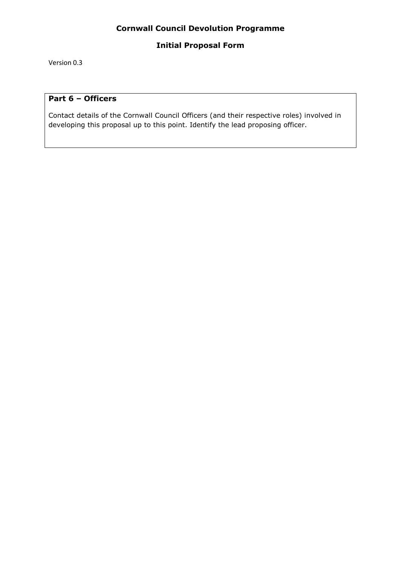### **Initial Proposal Form**

Version 0.3

#### **Part 6 – Officers**

Contact details of the Cornwall Council Officers (and their respective roles) involved in developing this proposal up to this point. Identify the lead proposing officer.